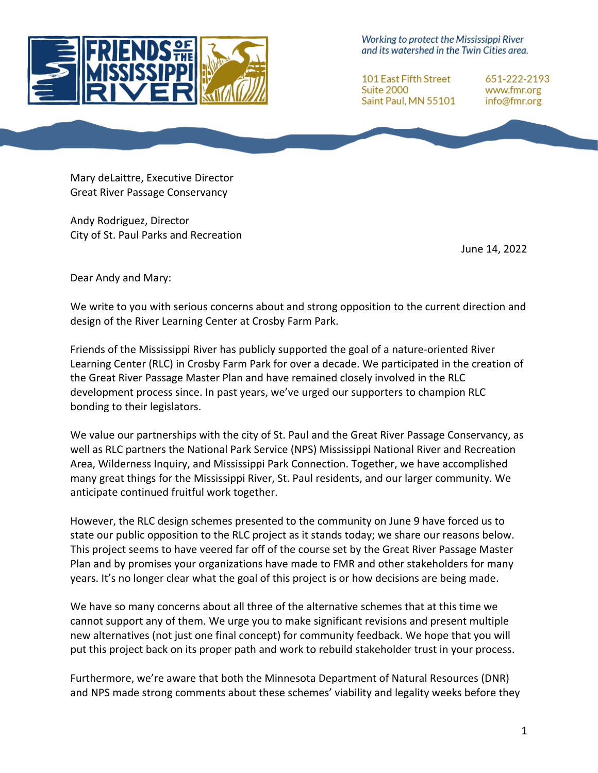

Working to protect the Mississippi River and its watershed in the Twin Cities area.

**101 East Fifth Street Suite 2000** Saint Paul, MN 55101 651-222-2193 www.fmr.org info@fmr.org

Mary deLaittre, Executive Director Great River Passage Conservancy

Andy Rodriguez, Director City of St. Paul Parks and Recreation

June 14, 2022

Dear Andy and Mary:

We write to you with serious concerns about and strong opposition to the current direction and design of the River Learning Center at Crosby Farm Park.

Friends of the Mississippi River has publicly supported the goal of a nature-oriented River Learning Center (RLC) in Crosby Farm Park for over a decade. We participated in the creation of the Great River Passage Master Plan and have remained closely involved in the RLC development process since. In past years, we've urged our supporters to champion RLC bonding to their legislators.

We value our partnerships with the city of St. Paul and the Great River Passage Conservancy, as well as RLC partners the National Park Service (NPS) Mississippi National River and Recreation Area, Wilderness Inquiry, and Mississippi Park Connection. Together, we have accomplished many great things for the Mississippi River, St. Paul residents, and our larger community. We anticipate continued fruitful work together.

However, the RLC design schemes presented to the community on June 9 have forced us to state our public opposition to the RLC project as it stands today; we share our reasons below. This project seems to have veered far off of the course set by the Great River Passage Master Plan and by promises your organizations have made to FMR and other stakeholders for many years. It's no longer clear what the goal of this project is or how decisions are being made.

We have so many concerns about all three of the alternative schemes that at this time we cannot support any of them. We urge you to make significant revisions and present multiple new alternatives (not just one final concept) for community feedback. We hope that you will put this project back on its proper path and work to rebuild stakeholder trust in your process.

Furthermore, we're aware that both the Minnesota Department of Natural Resources (DNR) and NPS made strong comments about these schemes' viability and legality weeks before they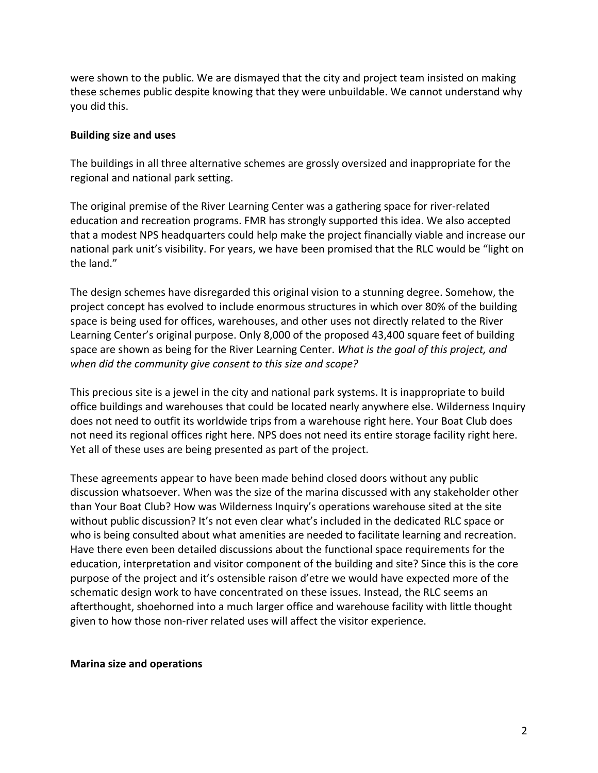were shown to the public. We are dismayed that the city and project team insisted on making these schemes public despite knowing that they were unbuildable. We cannot understand why you did this.

### **Building size and uses**

The buildings in all three alternative schemes are grossly oversized and inappropriate for the regional and national park setting.

The original premise of the River Learning Center was a gathering space for river-related education and recreation programs. FMR has strongly supported this idea. We also accepted that a modest NPS headquarters could help make the project financially viable and increase our national park unit's visibility. For years, we have been promised that the RLC would be "light on the land."

The design schemes have disregarded this original vision to a stunning degree. Somehow, the project concept has evolved to include enormous structures in which over 80% of the building space is being used for offices, warehouses, and other uses not directly related to the River Learning Center's original purpose. Only 8,000 of the proposed 43,400 square feet of building space are shown as being for the River Learning Center. *What is the goal of this project, and when did the community give consent to this size and scope?*

This precious site is a jewel in the city and national park systems. It is inappropriate to build office buildings and warehouses that could be located nearly anywhere else. Wilderness Inquiry does not need to outfit its worldwide trips from a warehouse right here. Your Boat Club does not need its regional offices right here. NPS does not need its entire storage facility right here. Yet all of these uses are being presented as part of the project.

These agreements appear to have been made behind closed doors without any public discussion whatsoever. When was the size of the marina discussed with any stakeholder other than Your Boat Club? How was Wilderness Inquiry's operations warehouse sited at the site without public discussion? It's not even clear what's included in the dedicated RLC space or who is being consulted about what amenities are needed to facilitate learning and recreation. Have there even been detailed discussions about the functional space requirements for the education, interpretation and visitor component of the building and site? Since this is the core purpose of the project and it's ostensible raison d'etre we would have expected more of the schematic design work to have concentrated on these issues. Instead, the RLC seems an afterthought, shoehorned into a much larger office and warehouse facility with little thought given to how those non-river related uses will affect the visitor experience.

#### **Marina size and operations**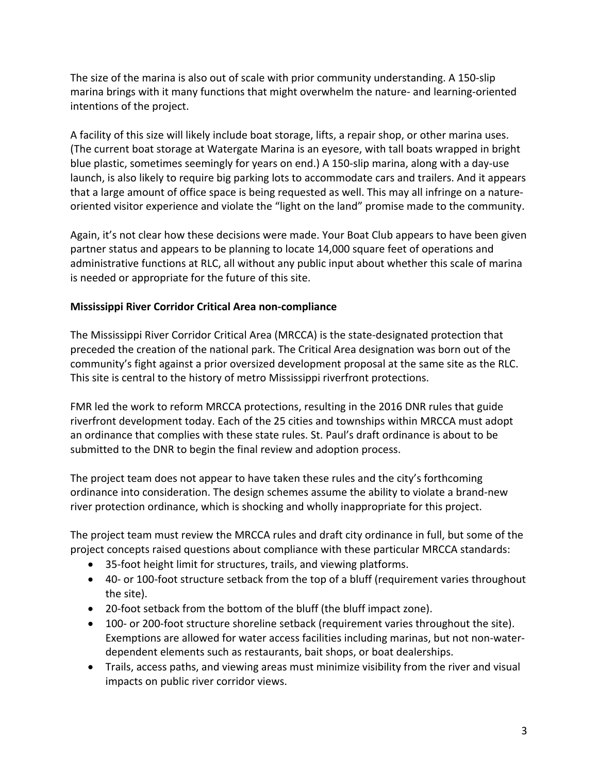The size of the marina is also out of scale with prior community understanding. A 150-slip marina brings with it many functions that might overwhelm the nature- and learning-oriented intentions of the project.

A facility of this size will likely include boat storage, lifts, a repair shop, or other marina uses. (The current boat storage at Watergate Marina is an eyesore, with tall boats wrapped in bright blue plastic, sometimes seemingly for years on end.) A 150-slip marina, along with a day-use launch, is also likely to require big parking lots to accommodate cars and trailers. And it appears that a large amount of office space is being requested as well. This may all infringe on a natureoriented visitor experience and violate the "light on the land" promise made to the community.

Again, it's not clear how these decisions were made. Your Boat Club appears to have been given partner status and appears to be planning to locate 14,000 square feet of operations and administrative functions at RLC, all without any public input about whether this scale of marina is needed or appropriate for the future of this site.

# **Mississippi River Corridor Critical Area non-compliance**

The Mississippi River Corridor Critical Area (MRCCA) is the state-designated protection that preceded the creation of the national park. The Critical Area designation was born out of the community's fight against a prior oversized development proposal at the same site as the RLC. This site is central to the history of metro Mississippi riverfront protections.

FMR led the work to reform MRCCA protections, resulting in the 2016 DNR rules that guide riverfront development today. Each of the 25 cities and townships within MRCCA must adopt an ordinance that complies with these state rules. St. Paul's draft ordinance is about to be submitted to the DNR to begin the final review and adoption process.

The project team does not appear to have taken these rules and the city's forthcoming ordinance into consideration. The design schemes assume the ability to violate a brand-new river protection ordinance, which is shocking and wholly inappropriate for this project.

The project team must review the MRCCA rules and draft city ordinance in full, but some of the project concepts raised questions about compliance with these particular MRCCA standards:

- 35-foot height limit for structures, trails, and viewing platforms.
- 40- or 100-foot structure setback from the top of a bluff (requirement varies throughout the site).
- 20-foot setback from the bottom of the bluff (the bluff impact zone).
- 100- or 200-foot structure shoreline setback (requirement varies throughout the site). Exemptions are allowed for water access facilities including marinas, but not non-waterdependent elements such as restaurants, bait shops, or boat dealerships.
- Trails, access paths, and viewing areas must minimize visibility from the river and visual impacts on public river corridor views.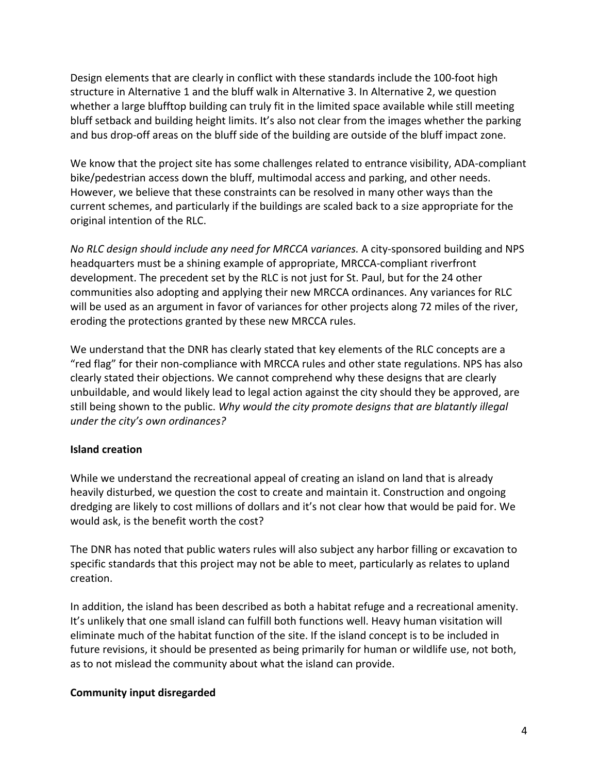Design elements that are clearly in conflict with these standards include the 100-foot high structure in Alternative 1 and the bluff walk in Alternative 3. In Alternative 2, we question whether a large blufftop building can truly fit in the limited space available while still meeting bluff setback and building height limits. It's also not clear from the images whether the parking and bus drop-off areas on the bluff side of the building are outside of the bluff impact zone.

We know that the project site has some challenges related to entrance visibility, ADA-compliant bike/pedestrian access down the bluff, multimodal access and parking, and other needs. However, we believe that these constraints can be resolved in many other ways than the current schemes, and particularly if the buildings are scaled back to a size appropriate for the original intention of the RLC.

*No RLC design should include any need for MRCCA variances.* A city-sponsored building and NPS headquarters must be a shining example of appropriate, MRCCA-compliant riverfront development. The precedent set by the RLC is not just for St. Paul, but for the 24 other communities also adopting and applying their new MRCCA ordinances. Any variances for RLC will be used as an argument in favor of variances for other projects along 72 miles of the river, eroding the protections granted by these new MRCCA rules.

We understand that the DNR has clearly stated that key elements of the RLC concepts are a "red flag" for their non-compliance with MRCCA rules and other state regulations. NPS has also clearly stated their objections. We cannot comprehend why these designs that are clearly unbuildable, and would likely lead to legal action against the city should they be approved, are still being shown to the public. *Why would the city promote designs that are blatantly illegal under the city's own ordinances?*

## **Island creation**

While we understand the recreational appeal of creating an island on land that is already heavily disturbed, we question the cost to create and maintain it. Construction and ongoing dredging are likely to cost millions of dollars and it's not clear how that would be paid for. We would ask, is the benefit worth the cost?

The DNR has noted that public waters rules will also subject any harbor filling or excavation to specific standards that this project may not be able to meet, particularly as relates to upland creation.

In addition, the island has been described as both a habitat refuge and a recreational amenity. It's unlikely that one small island can fulfill both functions well. Heavy human visitation will eliminate much of the habitat function of the site. If the island concept is to be included in future revisions, it should be presented as being primarily for human or wildlife use, not both, as to not mislead the community about what the island can provide.

## **Community input disregarded**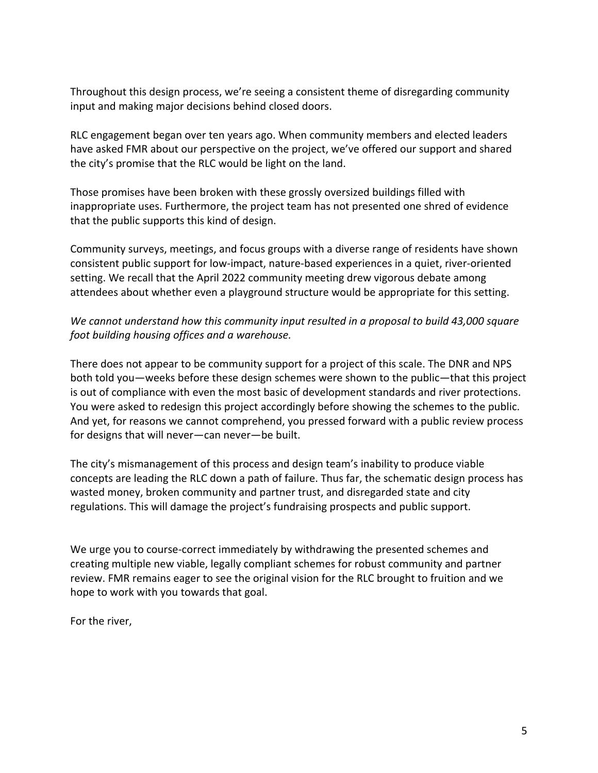Throughout this design process, we're seeing a consistent theme of disregarding community input and making major decisions behind closed doors.

RLC engagement began over ten years ago. When community members and elected leaders have asked FMR about our perspective on the project, we've offered our support and shared the city's promise that the RLC would be light on the land.

Those promises have been broken with these grossly oversized buildings filled with inappropriate uses. Furthermore, the project team has not presented one shred of evidence that the public supports this kind of design.

Community surveys, meetings, and focus groups with a diverse range of residents have shown consistent public support for low-impact, nature-based experiences in a quiet, river-oriented setting. We recall that the April 2022 community meeting drew vigorous debate among attendees about whether even a playground structure would be appropriate for this setting.

*We cannot understand how this community input resulted in a proposal to build 43,000 square foot building housing offices and a warehouse.* 

There does not appear to be community support for a project of this scale. The DNR and NPS both told you—weeks before these design schemes were shown to the public—that this project is out of compliance with even the most basic of development standards and river protections. You were asked to redesign this project accordingly before showing the schemes to the public. And yet, for reasons we cannot comprehend, you pressed forward with a public review process for designs that will never—can never—be built.

The city's mismanagement of this process and design team's inability to produce viable concepts are leading the RLC down a path of failure. Thus far, the schematic design process has wasted money, broken community and partner trust, and disregarded state and city regulations. This will damage the project's fundraising prospects and public support.

We urge you to course-correct immediately by withdrawing the presented schemes and creating multiple new viable, legally compliant schemes for robust community and partner review. FMR remains eager to see the original vision for the RLC brought to fruition and we hope to work with you towards that goal.

For the river,